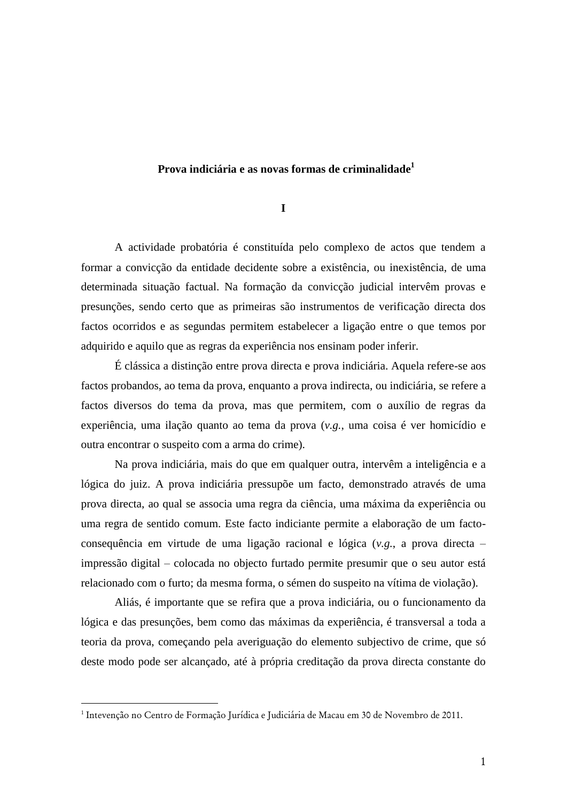# **Prova indiciária e as novas formas de criminalidade<sup>1</sup>**

**I**

A actividade probatória é constituída pelo complexo de actos que tendem a formar a convicção da entidade decidente sobre a existência, ou inexistência, de uma determinada situação factual. Na formação da convicção judicial intervêm provas e presunções, sendo certo que as primeiras são instrumentos de verificação directa dos factos ocorridos e as segundas permitem estabelecer a ligação entre o que temos por adquirido e aquilo que as regras da experiência nos ensinam poder inferir.

É clássica a distinção entre prova directa e prova indiciária. Aquela refere-se aos factos probandos, ao tema da prova, enquanto a prova indirecta, ou indiciária, se refere a factos diversos do tema da prova, mas que permitem, com o auxílio de regras da experiência, uma ilação quanto ao tema da prova (*v.g.*, uma coisa é ver homicídio e outra encontrar o suspeito com a arma do crime).

Na prova indiciária, mais do que em qualquer outra, intervêm a inteligência e a lógica do juiz. A prova indiciária pressupõe um facto, demonstrado através de uma prova directa, ao qual se associa uma regra da ciência, uma máxima da experiência ou uma regra de sentido comum. Este facto indiciante permite a elaboração de um factoconsequência em virtude de uma ligação racional e lógica (*v.g.*, a prova directa – impressão digital – colocada no objecto furtado permite presumir que o seu autor está relacionado com o furto; da mesma forma, o sémen do suspeito na vítima de violação).

Aliás, é importante que se refira que a prova indiciária, ou o funcionamento da lógica e das presunções, bem como das máximas da experiência, é transversal a toda a teoria da prova, começando pela averiguação do elemento subjectivo de crime, que só deste modo pode ser alcançado, até à própria creditação da prova directa constante do

<sup>1</sup> Intevenção no Centro de Formação Jurídica e Judiciária de Macau em 30 de Novembro de 2011.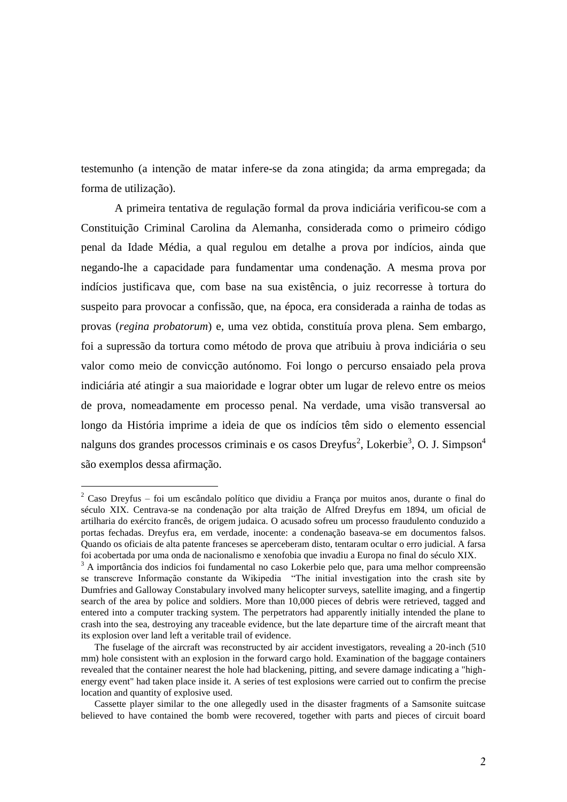testemunho (a intenção de matar infere-se da zona atingida; da arma empregada; da forma de utilização).

A primeira tentativa de regulação formal da prova indiciária verificou-se com a Constituição Criminal Carolina da Alemanha, considerada como o primeiro código penal da Idade Média, a qual regulou em detalhe a prova por indícios, ainda que negando-lhe a capacidade para fundamentar uma condenação. A mesma prova por indícios justificava que, com base na sua existência, o juiz recorresse à tortura do suspeito para provocar a confissão, que, na época, era considerada a rainha de todas as provas (*regina probatorum*) e, uma vez obtida, constituía prova plena. Sem embargo, foi a supressão da tortura como método de prova que atribuiu à prova indiciária o seu valor como meio de convicção autónomo. Foi longo o percurso ensaiado pela prova indiciária até atingir a sua maioridade e lograr obter um lugar de relevo entre os meios de prova, nomeadamente em processo penal. Na verdade, uma visão transversal ao longo da História imprime a ideia de que os indícios têm sido o elemento essencial nalguns dos grandes processos criminais e os casos Dreyfus<sup>2</sup>, Lokerbie<sup>3</sup>, O. J. Simpson<sup>4</sup> são exemplos dessa afirmação.

<sup>2</sup> Caso Dreyfus – foi um escândalo político que dividiu a França por muitos anos, durante o final do século XIX. Centrava-se na condenação por alta traição de Alfred Dreyfus em 1894, um oficial de artilharia do exército francês, de origem judaica. O acusado sofreu um processo fraudulento conduzido a portas fechadas. Dreyfus era, em verdade, inocente: a condenação baseava-se em documentos falsos. Quando os oficiais de alta patente franceses se aperceberam disto, tentaram ocultar o erro judicial. A farsa foi acobertada por uma onda de nacionalismo e xenofobia que invadiu a Europa no final do século XIX.

<sup>&</sup>lt;sup>3</sup> A importância dos indicios foi fundamental no caso Lokerbie pelo que, para uma melhor compreensão se transcreve Informação constante da Wikipedia "The initial investigation into the crash site by Dumfries and Galloway Constabulary involved many helicopter surveys, satellite imaging, and a fingertip search of the area by police and soldiers. More than 10,000 pieces of debris were retrieved, tagged and entered into a computer tracking system. The perpetrators had apparently initially intended the plane to crash into the sea, destroying any traceable evidence, but the late departure time of the aircraft meant that its explosion over land left a veritable trail of evidence.

The fuselage of the aircraft was reconstructed by air accident investigators, revealing a 20-inch (510 mm) hole consistent with an explosion in the forward cargo hold. Examination of the baggage containers revealed that the container nearest the hole had blackening, pitting, and severe damage indicating a "highenergy event" had taken place inside it. A series of test explosions were carried out to confirm the precise location and quantity of explosive used.

Cassette player similar to the one allegedly used in the disaster fragments of a Samsonite suitcase believed to have contained the bomb were recovered, together with parts and pieces of circuit board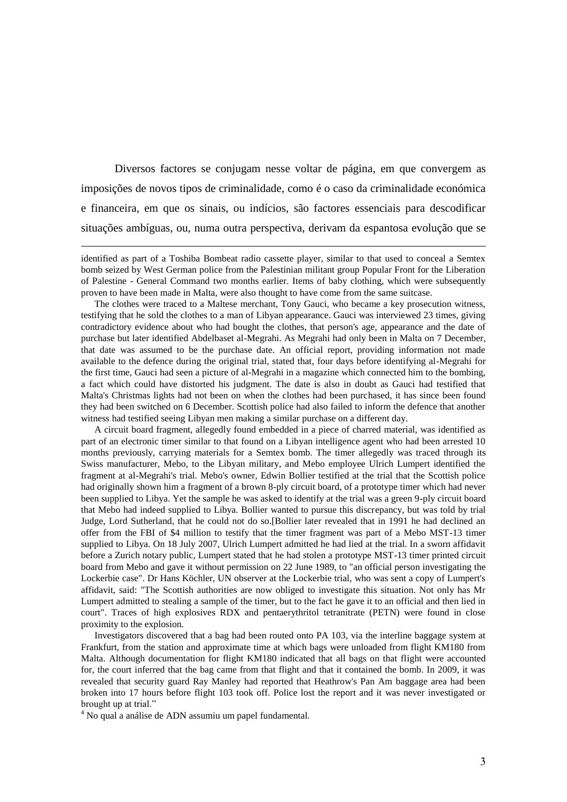Diversos factores se conjugam nesse voltar de página, em que convergem as imposições de novos tipos de criminalidade, como é o caso da criminalidade económica e financeira, em que os sinais, ou indícios, são factores essenciais para descodificar situações ambíguas, ou, numa outra perspectiva, derivam da espantosa evolução que se

The clothes were traced to a Maltese merchant, Tony Gauci, who became a key prosecution witness, testifying that he sold the clothes to a man of Libyan appearance. Gauci was interviewed 23 times, giving contradictory evidence about who had bought the clothes, that person's age, appearance and the date of purchase but later identified Abdelbaset al-Megrahi. As Megrahi had only been in Malta on 7 December, that date was assumed to be the purchase date. An official report, providing information not made available to the defence during the original trial, stated that, four days before identifying al-Megrahi for the first time, Gauci had seen a picture of al-Megrahi in a magazine which connected him to the bombing, a fact which could have distorted his judgment. The date is also in doubt as Gauci had testified that Malta's Christmas lights had not been on when the clothes had been purchased, it has since been found they had been switched on 6 December. Scottish police had also failed to inform the defence that another witness had testified seeing Libyan men making a similar purchase on a different day.

A circuit board fragment, allegedly found embedded in a piece of charred material, was identified as part of an electronic timer similar to that found on a Libyan intelligence agent who had been arrested 10 months previously, carrying materials for a Semtex bomb. The timer allegedly was traced through its Swiss manufacturer, Mebo, to the Libyan military, and Mebo employee Ulrich Lumpert identified the fragment at al-Megrahi's trial. Mebo's owner, Edwin Bollier testified at the trial that the Scottish police had originally shown him a fragment of a brown 8-ply circuit board, of a prototype timer which had never been supplied to Libya. Yet the sample he was asked to identify at the trial was a green 9-ply circuit board that Mebo had indeed supplied to Libya. Bollier wanted to pursue this discrepancy, but was told by trial Judge, Lord Sutherland, that he could not do so.[Bollier later revealed that in 1991 he had declined an offer from the FBI of \$4 million to testify that the timer fragment was part of a Mebo MST-13 timer supplied to Libya. On 18 July 2007, Ulrich Lumpert admitted he had lied at the trial. In a sworn affidavit before a Zurich notary public, Lumpert stated that he had stolen a prototype MST-13 timer printed circuit board from Mebo and gave it without permission on 22 June 1989, to "an official person investigating the Lockerbie case". Dr Hans Köchler, UN observer at the Lockerbie trial, who was sent a copy of Lumpert's affidavit, said: "The Scottish authorities are now obliged to investigate this situation. Not only has Mr Lumpert admitted to stealing a sample of the timer, but to the fact he gave it to an official and then lied in court". Traces of high explosives RDX and pentaerythritol tetranitrate (PETN) were found in close proximity to the explosion.

Investigators discovered that a bag had been routed onto PA 103, via the interline baggage system at Frankfurt, from the station and approximate time at which bags were unloaded from flight KM180 from Malta. Although documentation for flight KM180 indicated that all bags on that flight were accounted for, the court inferred that the bag came from that flight and that it contained the bomb. In 2009, it was revealed that security guard Ray Manley had reported that Heathrow's Pan Am baggage area had been broken into 17 hours before flight 103 took off. Police lost the report and it was never investigated or brought up at trial."

<sup>4</sup> No qual a análise de ADN assumiu um papel fundamental.

identified as part of a Toshiba Bombeat radio cassette player, similar to that used to conceal a Semtex bomb seized by West German police from the Palestinian militant group Popular Front for the Liberation of Palestine - General Command two months earlier. Items of baby clothing, which were subsequently proven to have been made in Malta, were also thought to have come from the same suitcase.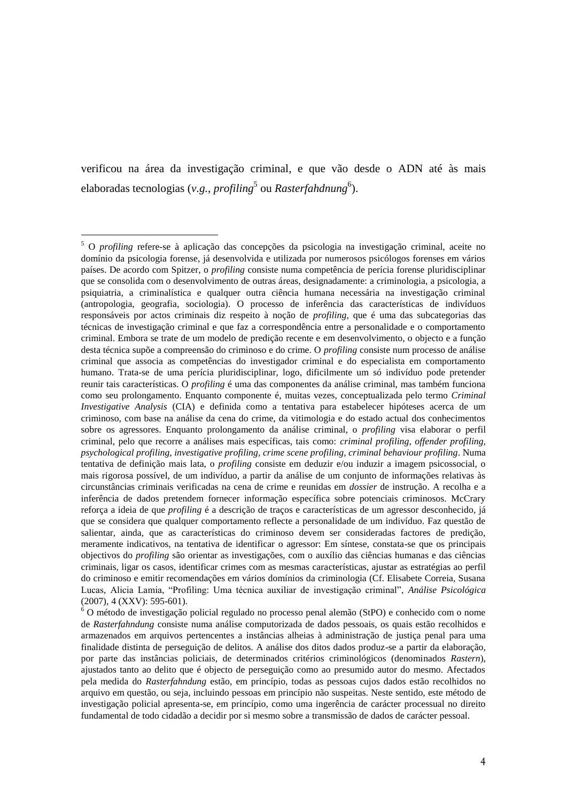verificou na área da investigação criminal, e que vão desde o ADN até às mais elaboradas tecnologias (v.*g., profiling<sup>5</sup> ou Rasterfahdnung<sup>6</sup>).* 

<sup>5</sup> O *profiling* refere-se à aplicação das concepções da psicologia na investigação criminal, aceite no domínio da psicologia forense, já desenvolvida e utilizada por numerosos psicólogos forenses em vários países. De acordo com Spitzer, o *profiling* consiste numa competência de perícia forense pluridisciplinar que se consolida com o desenvolvimento de outras áreas, designadamente: a criminologia, a psicologia, a psiquiatria, a criminalística e qualquer outra ciência humana necessária na investigação criminal (antropologia, geografia, sociologia). O processo de inferência das características de indivíduos responsáveis por actos criminais diz respeito à noção de *profiling*, que é uma das subcategorias das técnicas de investigação criminal e que faz a correspondência entre a personalidade e o comportamento criminal. Embora se trate de um modelo de predição recente e em desenvolvimento, o objecto e a função desta técnica supõe a compreensão do criminoso e do crime. O *profiling* consiste num processo de análise criminal que associa as competências do investigador criminal e do especialista em comportamento humano. Trata-se de uma perícia pluridisciplinar, logo, dificilmente um só indivíduo pode pretender reunir tais características. O *profiling* é uma das componentes da análise criminal, mas também funciona como seu prolongamento. Enquanto componente é, muitas vezes, conceptualizada pelo termo *Criminal Investigative Analysis* (CIA) e definida como a tentativa para estabelecer hipóteses acerca de um criminoso, com base na análise da cena do crime, da vitimologia e do estado actual dos conhecimentos sobre os agressores. Enquanto prolongamento da análise criminal, o *profiling* visa elaborar o perfil criminal, pelo que recorre a análises mais específicas, tais como: *criminal profiling, offender profiling, psychological profiling, investigative profiling, crime scene profiling, criminal behaviour profiling*. Numa tentativa de definição mais lata, o *profiling* consiste em deduzir e/ou induzir a imagem psicossocial, o mais rigorosa possível, de um indivíduo, a partir da análise de um conjunto de informações relativas às circunstâncias criminais verificadas na cena de crime e reunidas em *dossier* de instrução. A recolha e a inferência de dados pretendem fornecer informação específica sobre potenciais criminosos. McCrary reforça a ideia de que *profiling* é a descrição de traços e características de um agressor desconhecido, já que se considera que qualquer comportamento reflecte a personalidade de um indivíduo. Faz questão de salientar, ainda, que as características do criminoso devem ser consideradas factores de predição, meramente indicativos, na tentativa de identificar o agressor: Em síntese, constata-se que os principais objectivos do *profiling* são orientar as investigações, com o auxílio das ciências humanas e das ciências criminais, ligar os casos, identificar crimes com as mesmas características, ajustar as estratégias ao perfil do criminoso e emitir recomendações em vários domínios da criminologia (Cf. Elisabete Correia, Susana Lucas, Alicia Lamia, "Profiling: Uma técnica auxiliar de investigação criminal", *Análise Psicológica* (2007), 4 (XXV): 595-601).

 $6$  O método de investigação policial regulado no processo penal alemão (StPO) e conhecido com o nome de *Rasterfahndung* consiste numa análise computorizada de dados pessoais, os quais estão recolhidos e armazenados em arquivos pertencentes a instâncias alheias à administração de justiça penal para uma finalidade distinta de perseguição de delitos. A análise dos ditos dados produz-se a partir da elaboração, por parte das instâncias policiais, de determinados critérios criminológicos (denominados *Rastern*), ajustados tanto ao delito que é objecto de perseguição como ao presumido autor do mesmo. Afectados pela medida do *Rasterfahndung* estão, em princípio, todas as pessoas cujos dados estão recolhidos no arquivo em questão, ou seja, incluindo pessoas em princípio não suspeitas. Neste sentido, este método de investigação policial apresenta-se, em princípio, como uma ingerência de carácter processual no direito fundamental de todo cidadão a decidir por si mesmo sobre a transmissão de dados de carácter pessoal.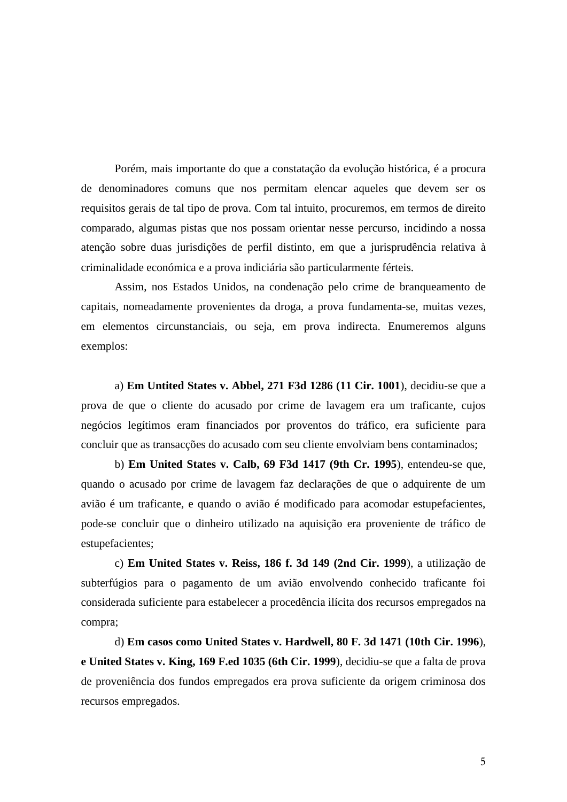Porém, mais importante do que a constatação da evolução histórica, é a procura de denominadores comuns que nos permitam elencar aqueles que devem ser os requisitos gerais de tal tipo de prova. Com tal intuito, procuremos, em termos de direito comparado, algumas pistas que nos possam orientar nesse percurso, incidindo a nossa atenção sobre duas jurisdições de perfil distinto, em que a jurisprudência relativa à criminalidade económica e a prova indiciária são particularmente férteis.

Assim, nos Estados Unidos, na condenação pelo crime de branqueamento de capitais, nomeadamente provenientes da droga, a prova fundamenta-se, muitas vezes, em elementos circunstanciais, ou seja, em prova indirecta. Enumeremos alguns exemplos:

a) **Em Untited States v. Abbel, 271 F3d 1286 (11 Cir. 1001**), decidiu-se que a prova de que o cliente do acusado por crime de lavagem era um traficante, cujos negócios legítimos eram financiados por proventos do tráfico, era suficiente para concluir que as transacções do acusado com seu cliente envolviam bens contaminados;

b) **Em United States v. Calb, 69 F3d 1417 (9th Cr. 1995**), entendeu-se que, quando o acusado por crime de lavagem faz declarações de que o adquirente de um avião é um traficante, e quando o avião é modificado para acomodar estupefacientes, pode-se concluir que o dinheiro utilizado na aquisição era proveniente de tráfico de estupefacientes;

c) **Em United States v. Reiss, 186 f. 3d 149 (2nd Cir. 1999**), a utilização de subterfúgios para o pagamento de um avião envolvendo conhecido traficante foi considerada suficiente para estabelecer a procedência ilícita dos recursos empregados na compra;

d) **Em casos como United States v. Hardwell, 80 F. 3d 1471 (10th Cir. 1996**), **e United States v. King, 169 F.ed 1035 (6th Cir. 1999**), decidiu-se que a falta de prova de proveniência dos fundos empregados era prova suficiente da origem criminosa dos recursos empregados.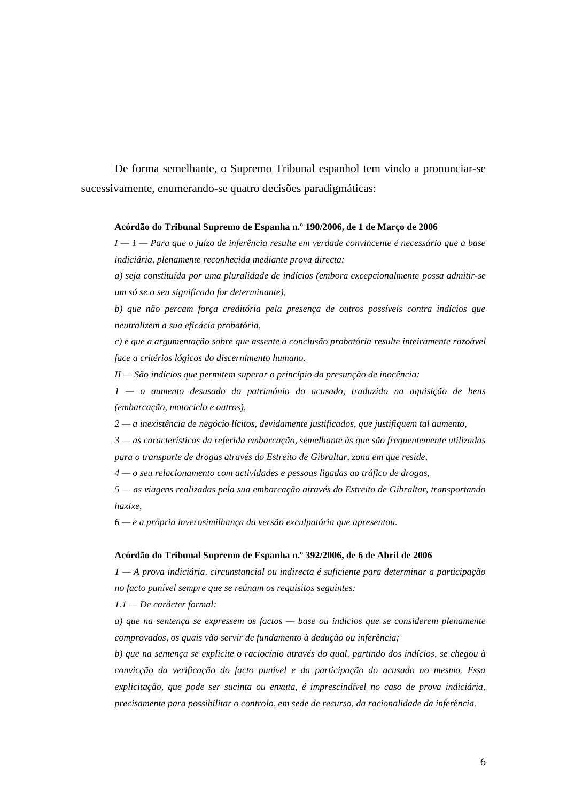De forma semelhante, o Supremo Tribunal espanhol tem vindo a pronunciar-se sucessivamente, enumerando-se quatro decisões paradigmáticas:

#### **Acórdão do Tribunal Supremo de Espanha n.º 190/2006, de 1 de Março de 2006**

*I — 1 — Para que o juízo de inferência resulte em verdade convincente é necessário que a base indiciária, plenamente reconhecida mediante prova directa:*

*a) seja constituída por uma pluralidade de indícios (embora excepcionalmente possa admitir-se um só se o seu significado for determinante),*

*b) que não percam força creditória pela presença de outros possíveis contra indícios que neutralizem a sua eficácia probatória,*

*c) e que a argumentação sobre que assente a conclusão probatória resulte inteiramente razoável face a critérios lógicos do discernimento humano.*

*II — São indícios que permitem superar o princípio da presunção de inocência:*

*1 — o aumento desusado do património do acusado, traduzido na aquisição de bens (embarcação, motociclo e outros),*

*2 — a inexistência de negócio lícitos, devidamente justificados, que justifiquem tal aumento,*

*3 — as características da referida embarcação, semelhante às que são frequentemente utilizadas para o transporte de drogas através do Estreito de Gibraltar, zona em que reside,*

*4 — o seu relacionamento com actividades e pessoas ligadas ao tráfico de drogas,*

*5 — as viagens realizadas pela sua embarcação através do Estreito de Gibraltar, transportando haxixe,*

*6 — e a própria inverosimilhança da versão exculpatória que apresentou.*

#### **Acórdão do Tribunal Supremo de Espanha n.º 392/2006, de 6 de Abril de 2006**

*1 — A prova indiciária, circunstancial ou indirecta é suficiente para determinar a participação no facto punível sempre que se reúnam os requisitos seguintes:*

*1.1 — De carácter formal:*

*a) que na sentença se expressem os factos — base ou indícios que se considerem plenamente comprovados, os quais vão servir de fundamento à dedução ou inferência;*

*b) que na sentença se explicite o raciocínio através do qual, partindo dos indícios, se chegou à convicção da verificação do facto punível e da participação do acusado no mesmo. Essa explicitação, que pode ser sucinta ou enxuta, é imprescindível no caso de prova indiciária, precisamente para possibilitar o controlo, em sede de recurso, da racionalidade da inferência.*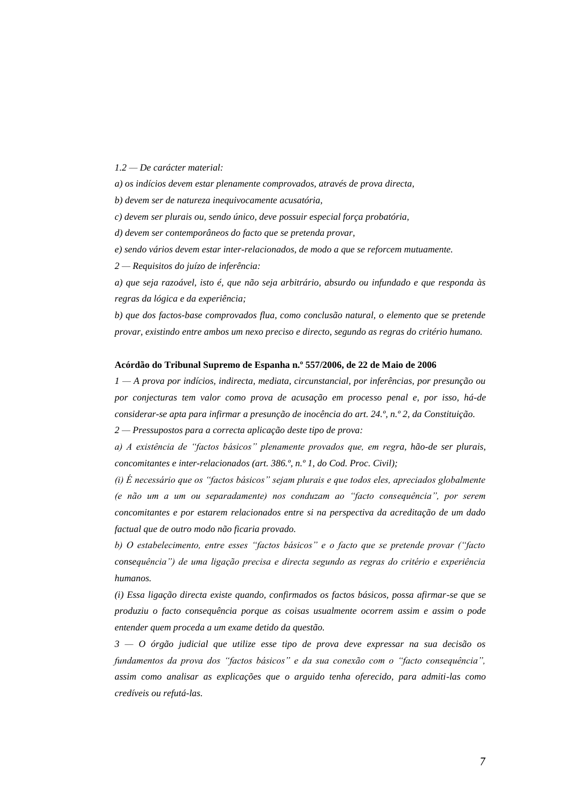*1.2 — De carácter material:*

*a) os indícios devem estar plenamente comprovados, através de prova directa,*

*b) devem ser de natureza inequivocamente acusatória,*

*c) devem ser plurais ou, sendo único, deve possuir especial força probatória,*

*d) devem ser contemporâneos do facto que se pretenda provar,*

*e) sendo vários devem estar inter-relacionados, de modo a que se reforcem mutuamente.*

*2 — Requisitos do juízo de inferência:*

*a) que seja razoável, isto é, que não seja arbitrário, absurdo ou infundado e que responda às regras da lógica e da experiência;*

*b) que dos factos-base comprovados flua, como conclusão natural, o elemento que se pretende provar, existindo entre ambos um nexo preciso e directo, segundo as regras do critério humano.*

### **Acórdão do Tribunal Supremo de Espanha n.º 557/2006, de 22 de Maio de 2006**

*1 — A prova por indícios, indirecta, mediata, circunstancial, por inferências, por presunção ou por conjecturas tem valor como prova de acusação em processo penal e, por isso, há-de considerar-se apta para infirmar a presunção de inocência do art. 24.º, n.º 2, da Constituição.*

*2 — Pressupostos para a correcta aplicação deste tipo de prova:*

*a) A existência de "factos básicos" plenamente provados que, em regra, hão-de ser plurais, concomitantes e inter-relacionados (art. 386.º, n.º 1, do Cod. Proc. Civil);*

*(i) É necessário que os "factos básicos" sejam plurais e que todos eles, apreciados globalmente (e não um a um ou separadamente) nos conduzam ao "facto consequência", por serem concomitantes e por estarem relacionados entre si na perspectiva da acreditação de um dado factual que de outro modo não ficaria provado.*

*b) O estabelecimento, entre esses "factos básicos" e o facto que se pretende provar ("facto consequência") de uma ligação precisa e directa segundo as regras do critério e experiência humanos.*

*(i) Essa ligação directa existe quando, confirmados os factos básicos, possa afirmar-se que se produziu o facto consequência porque as coisas usualmente ocorrem assim e assim o pode entender quem proceda a um exame detido da questão.*

*3 — O órgão judicial que utilize esse tipo de prova deve expressar na sua decisão os fundamentos da prova dos "factos básicos" e da sua conexão com o "facto consequência", assim como analisar as explicações que o arguido tenha oferecido, para admiti-las como credíveis ou refutá-las.*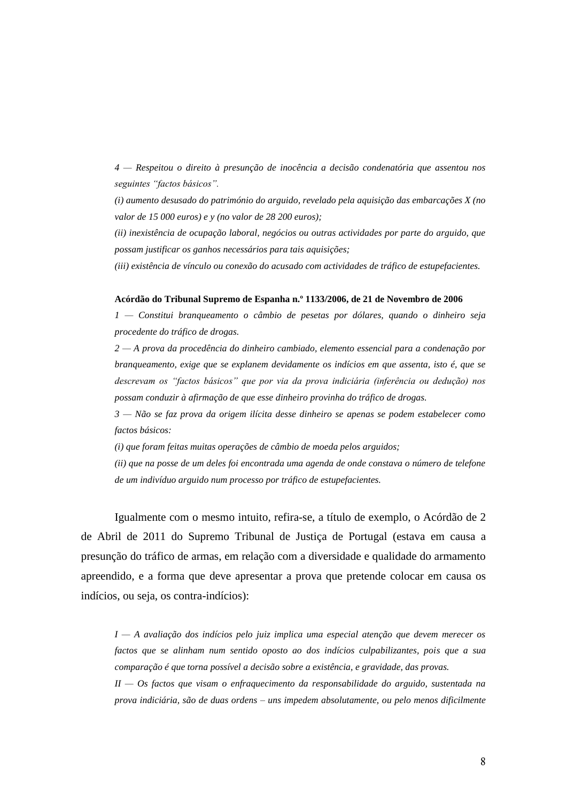*4 — Respeitou o direito à presunção de inocência a decisão condenatória que assentou nos seguintes "factos básicos".*

*(i) aumento desusado do património do arguido, revelado pela aquisição das embarcações X (no valor de 15 000 euros) e y (no valor de 28 200 euros);*

*(ii) inexistência de ocupação laboral, negócios ou outras actividades por parte do arguido, que possam justificar os ganhos necessários para tais aquisições;*

*(iii) existência de vínculo ou conexão do acusado com actividades de tráfico de estupefacientes.*

#### **Acórdão do Tribunal Supremo de Espanha n.º 1133/2006, de 21 de Novembro de 2006**

*1 — Constitui branqueamento o câmbio de pesetas por dólares, quando o dinheiro seja procedente do tráfico de drogas.*

*2 — A prova da procedência do dinheiro cambiado, elemento essencial para a condenação por branqueamento, exige que se explanem devidamente os indícios em que assenta, isto é, que se descrevam os "factos básicos" que por via da prova indiciária (inferência ou dedução) nos possam conduzir à afirmação de que esse dinheiro provinha do tráfico de drogas.*

*3 — Não se faz prova da origem ilícita desse dinheiro se apenas se podem estabelecer como factos básicos:*

*(i) que foram feitas muitas operações de câmbio de moeda pelos arguidos;*

*(ii) que na posse de um deles foi encontrada uma agenda de onde constava o número de telefone de um indivíduo arguido num processo por tráfico de estupefacientes.*

Igualmente com o mesmo intuito, refira-se, a título de exemplo, o Acórdão de 2 de Abril de 2011 do Supremo Tribunal de Justiça de Portugal (estava em causa a presunção do tráfico de armas, em relação com a diversidade e qualidade do armamento apreendido, e a forma que deve apresentar a prova que pretende colocar em causa os indícios, ou seja, os contra-indícios):

*I — A avaliação dos indícios pelo juiz implica uma especial atenção que devem merecer os factos que se alinham num sentido oposto ao dos indícios culpabilizantes, pois que a sua comparação é que torna possível a decisão sobre a existência, e gravidade, das provas.* 

*II — Os factos que visam o enfraquecimento da responsabilidade do arguido, sustentada na prova indiciária, são de duas ordens – uns impedem absolutamente, ou pelo menos dificilmente*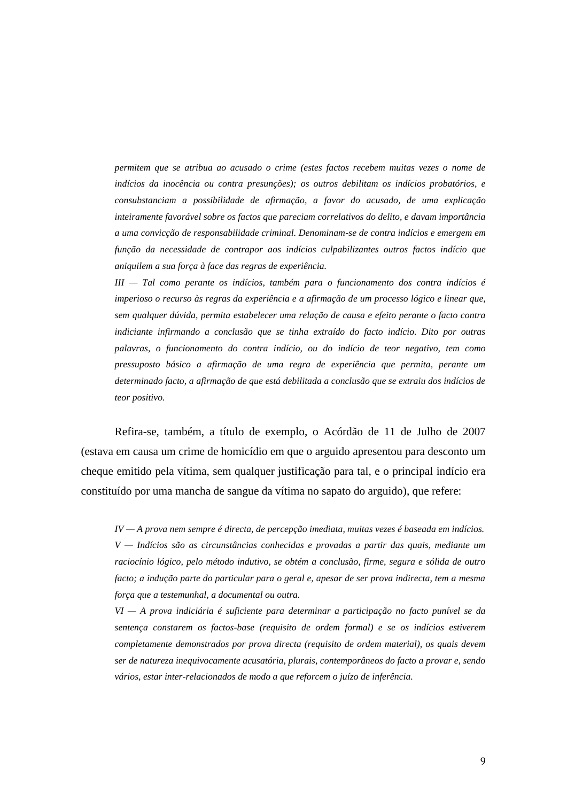*permitem que se atribua ao acusado o crime (estes factos recebem muitas vezes o nome de indícios da inocência ou contra presunções); os outros debilitam os indícios probatórios, e consubstanciam a possibilidade de afirmação, a favor do acusado, de uma explicação inteiramente favorável sobre os factos que pareciam correlativos do delito, e davam importância a uma convicção de responsabilidade criminal. Denominam-se de contra indícios e emergem em função da necessidade de contrapor aos indícios culpabilizantes outros factos indício que aniquilem a sua força à face das regras de experiência.*

*III — Tal como perante os indícios, também para o funcionamento dos contra indícios é imperioso o recurso às regras da experiência e a afirmação de um processo lógico e linear que, sem qualquer dúvida, permita estabelecer uma relação de causa e efeito perante o facto contra indiciante infirmando a conclusão que se tinha extraído do facto indício. Dito por outras palavras, o funcionamento do contra indício, ou do indício de teor negativo, tem como pressuposto básico a afirmação de uma regra de experiência que permita, perante um determinado facto, a afirmação de que está debilitada a conclusão que se extraiu dos indícios de teor positivo.* 

Refira-se, também, a título de exemplo, o Acórdão de 11 de Julho de 2007 (estava em causa um crime de homicídio em que o arguido apresentou para desconto um cheque emitido pela vítima, sem qualquer justificação para tal, e o principal indício era constituído por uma mancha de sangue da vítima no sapato do arguido), que refere:

*IV — A prova nem sempre é directa, de percepção imediata, muitas vezes é baseada em indícios. V — Indícios são as circunstâncias conhecidas e provadas a partir das quais, mediante um raciocínio lógico, pelo método indutivo, se obtém a conclusão, firme, segura e sólida de outro facto; a indução parte do particular para o geral e, apesar de ser prova indirecta, tem a mesma força que a testemunhal, a documental ou outra.*

*VI — A prova indiciária é suficiente para determinar a participação no facto punível se da sentença constarem os factos-base (requisito de ordem formal) e se os indícios estiverem completamente demonstrados por prova directa (requisito de ordem material), os quais devem ser de natureza inequivocamente acusatória, plurais, contemporâneos do facto a provar e, sendo vários, estar inter-relacionados de modo a que reforcem o juízo de inferência.*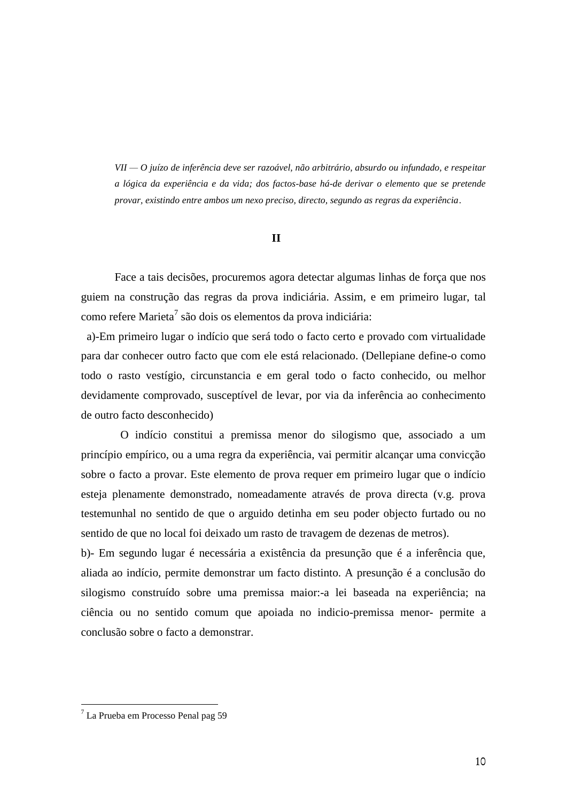*VII — O juízo de inferência deve ser razoável, não arbitrário, absurdo ou infundado, e respeitar a lógica da experiência e da vida; dos factos-base há-de derivar o elemento que se pretende provar, existindo entre ambos um nexo preciso, directo, segundo as regras da experiência*.

# **II**

Face a tais decisões, procuremos agora detectar algumas linhas de força que nos guiem na construção das regras da prova indiciária. Assim, e em primeiro lugar, tal como refere Marieta<sup>7</sup> são dois os elementos da prova indiciária:

 a)-Em primeiro lugar o indício que será todo o facto certo e provado com virtualidade para dar conhecer outro facto que com ele está relacionado. (Dellepiane define-o como todo o rasto vestígio, circunstancia e em geral todo o facto conhecido, ou melhor devidamente comprovado, susceptível de levar, por via da inferência ao conhecimento de outro facto desconhecido)

 O indício constitui a premissa menor do silogismo que, associado a um princípio empírico, ou a uma regra da experiência, vai permitir alcançar uma convicção sobre o facto a provar. Este elemento de prova requer em primeiro lugar que o indício esteja plenamente demonstrado, nomeadamente através de prova directa (v.g. prova testemunhal no sentido de que o arguido detinha em seu poder objecto furtado ou no sentido de que no local foi deixado um rasto de travagem de dezenas de metros).

b)- Em segundo lugar é necessária a existência da presunção que é a inferência que, aliada ao indício, permite demonstrar um facto distinto. A presunção é a conclusão do silogismo construído sobre uma premissa maior:-a lei baseada na experiência; na ciência ou no sentido comum que apoiada no indicio-premissa menor- permite a conclusão sobre o facto a demonstrar.

 $<sup>7</sup>$  La Prueba em Processo Penal pag 59</sup>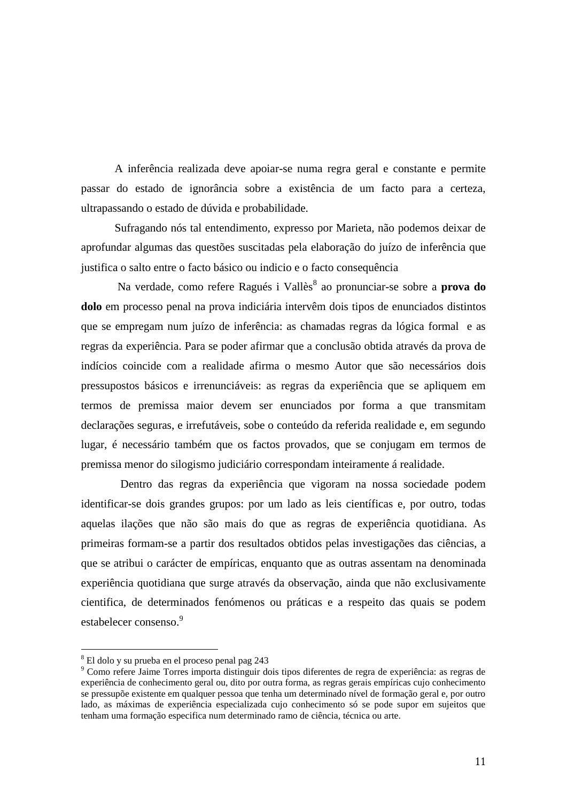A inferência realizada deve apoiar-se numa regra geral e constante e permite passar do estado de ignorância sobre a existência de um facto para a certeza, ultrapassando o estado de dúvida e probabilidade.

 Sufragando nós tal entendimento, expresso por Marieta, não podemos deixar de aprofundar algumas das questões suscitadas pela elaboração do juízo de inferência que justifica o salto entre o facto básico ou indicio e o facto consequência

Na verdade, como refere Ragués i Vallès<sup>8</sup> ao pronunciar-se sobre a **prova do dolo** em processo penal na prova indiciária intervêm dois tipos de enunciados distintos que se empregam num juízo de inferência: as chamadas regras da lógica formal e as regras da experiência. Para se poder afirmar que a conclusão obtida através da prova de indícios coincide com a realidade afirma o mesmo Autor que são necessários dois pressupostos básicos e irrenunciáveis: as regras da experiência que se apliquem em termos de premissa maior devem ser enunciados por forma a que transmitam declarações seguras, e irrefutáveis, sobe o conteúdo da referida realidade e, em segundo lugar, é necessário também que os factos provados, que se conjugam em termos de premissa menor do silogismo judiciário correspondam inteiramente á realidade.

 Dentro das regras da experiência que vigoram na nossa sociedade podem identificar-se dois grandes grupos: por um lado as leis científicas e, por outro, todas aquelas ilações que não são mais do que as regras de experiência quotidiana. As primeiras formam-se a partir dos resultados obtidos pelas investigações das ciências, a que se atribui o carácter de empíricas, enquanto que as outras assentam na denominada experiência quotidiana que surge através da observação, ainda que não exclusivamente cientifica, de determinados fenómenos ou práticas e a respeito das quais se podem estabelecer consenso.<sup>9</sup>

<sup>8</sup> El dolo y su prueba en el proceso penal pag 243

<sup>9</sup> Como refere Jaime Torres importa distinguir dois tipos diferentes de regra de experiência: as regras de experiência de conhecimento geral ou, dito por outra forma, as regras gerais empíricas cujo conhecimento se pressupõe existente em qualquer pessoa que tenha um determinado nível de formação geral e, por outro lado, as máximas de experiência especializada cujo conhecimento só se pode supor em sujeitos que tenham uma formação especifica num determinado ramo de ciência, técnica ou arte.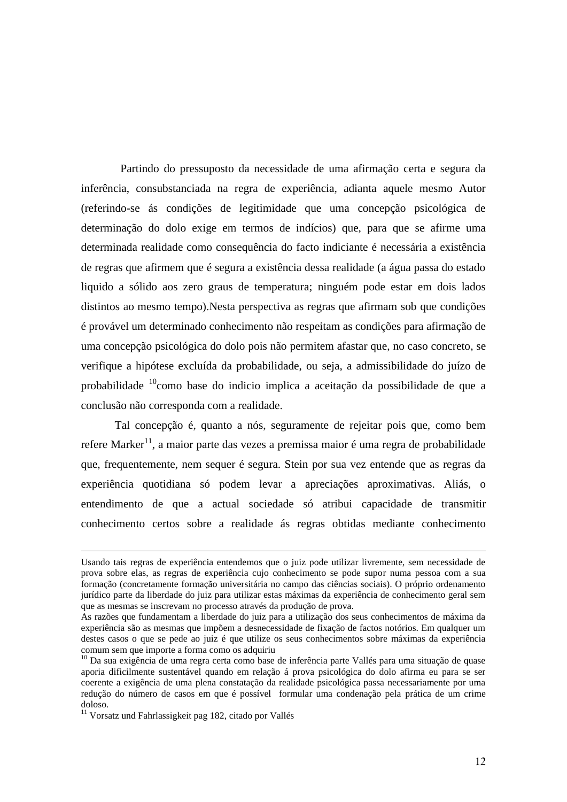Partindo do pressuposto da necessidade de uma afirmação certa e segura da inferência, consubstanciada na regra de experiência, adianta aquele mesmo Autor (referindo-se ás condições de legitimidade que uma concepção psicológica de determinação do dolo exige em termos de indícios) que, para que se afirme uma determinada realidade como consequência do facto indiciante é necessária a existência de regras que afirmem que é segura a existência dessa realidade (a água passa do estado liquido a sólido aos zero graus de temperatura; ninguém pode estar em dois lados distintos ao mesmo tempo).Nesta perspectiva as regras que afirmam sob que condições é provável um determinado conhecimento não respeitam as condições para afirmação de uma concepção psicológica do dolo pois não permitem afastar que, no caso concreto, se verifique a hipótese excluída da probabilidade, ou seja, a admissibilidade do juízo de probabilidade <sup>10</sup>como base do indicio implica a aceitação da possibilidade de que a conclusão não corresponda com a realidade.

Tal concepção é, quanto a nós, seguramente de rejeitar pois que, como bem refere Marker<sup>11</sup>, a maior parte das vezes a premissa maior é uma regra de probabilidade que, frequentemente, nem sequer é segura. Stein por sua vez entende que as regras da experiência quotidiana só podem levar a apreciações aproximativas. Aliás, o entendimento de que a actual sociedade só atribui capacidade de transmitir conhecimento certos sobre a realidade ás regras obtidas mediante conhecimento

Usando tais regras de experiência entendemos que o juiz pode utilizar livremente, sem necessidade de prova sobre elas, as regras de experiência cujo conhecimento se pode supor numa pessoa com a sua formação (concretamente formação universitária no campo das ciências sociais). O próprio ordenamento jurídico parte da liberdade do juiz para utilizar estas máximas da experiência de conhecimento geral sem que as mesmas se inscrevam no processo através da produção de prova.

As razões que fundamentam a liberdade do juiz para a utilização dos seus conhecimentos de máxima da experiência são as mesmas que impõem a desnecessidade de fixação de factos notórios. Em qualquer um destes casos o que se pede ao juiz é que utilize os seus conhecimentos sobre máximas da experiência comum sem que importe a forma como os adquiriu

<sup>&</sup>lt;sup>10</sup> Da sua exigência de uma regra certa como base de inferência parte Vallés para uma situação de quase aporia dificilmente sustentável quando em relação á prova psicológica do dolo afirma eu para se ser coerente a exigência de uma plena constatação da realidade psicológica passa necessariamente por uma redução do número de casos em que é possível formular uma condenação pela prática de um crime doloso.

 $11$  Vorsatz und Fahrlassigkeit pag 182, citado por Vallés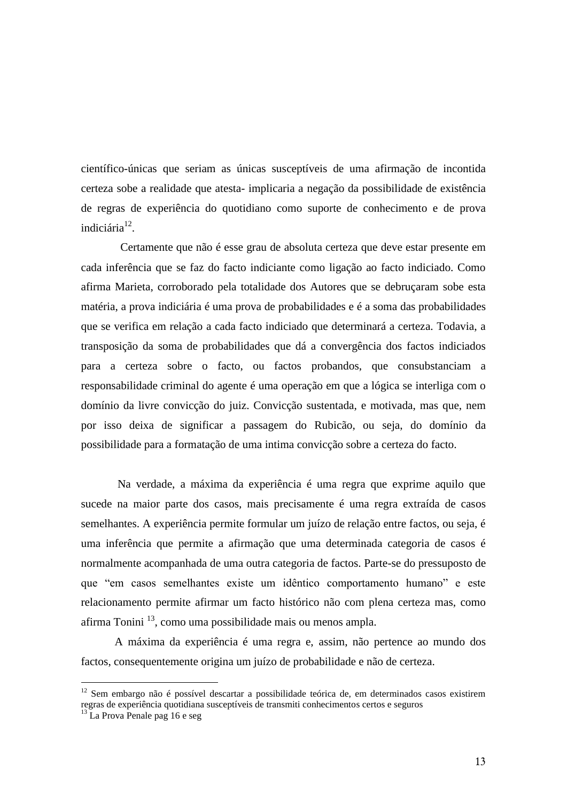científico-únicas que seriam as únicas susceptíveis de uma afirmação de incontida certeza sobe a realidade que atesta- implicaria a negação da possibilidade de existência de regras de experiência do quotidiano como suporte de conhecimento e de prova indiciária<sup>12</sup>.

 Certamente que não é esse grau de absoluta certeza que deve estar presente em cada inferência que se faz do facto indiciante como ligação ao facto indiciado. Como afirma Marieta, corroborado pela totalidade dos Autores que se debruçaram sobe esta matéria, a prova indiciária é uma prova de probabilidades e é a soma das probabilidades que se verifica em relação a cada facto indiciado que determinará a certeza. Todavia, a transposição da soma de probabilidades que dá a convergência dos factos indiciados para a certeza sobre o facto, ou factos probandos, que consubstanciam a responsabilidade criminal do agente é uma operação em que a lógica se interliga com o domínio da livre convicção do juiz. Convicção sustentada, e motivada, mas que, nem por isso deixa de significar a passagem do Rubicão, ou seja, do domínio da possibilidade para a formatação de uma intima convicção sobre a certeza do facto.

Na verdade, a máxima da experiência é uma regra que exprime aquilo que sucede na maior parte dos casos, mais precisamente é uma regra extraída de casos semelhantes. A experiência permite formular um juízo de relação entre factos, ou seja, é uma inferência que permite a afirmação que uma determinada categoria de casos é normalmente acompanhada de uma outra categoria de factos. Parte-se do pressuposto de que "em casos semelhantes existe um idêntico comportamento humano" e este relacionamento permite afirmar um facto histórico não com plena certeza mas, como afirma Tonini<sup>13</sup>, como uma possibilidade mais ou menos ampla.

A máxima da experiência é uma regra e, assim, não pertence ao mundo dos factos, consequentemente origina um juízo de probabilidade e não de certeza.

 $12$  Sem embargo não é possível descartar a possibilidade teórica de, em determinados casos existirem regras de experiência quotidiana susceptíveis de transmiti conhecimentos certos e seguros

 $^{13}$  La Prova Penale pag 16 e seg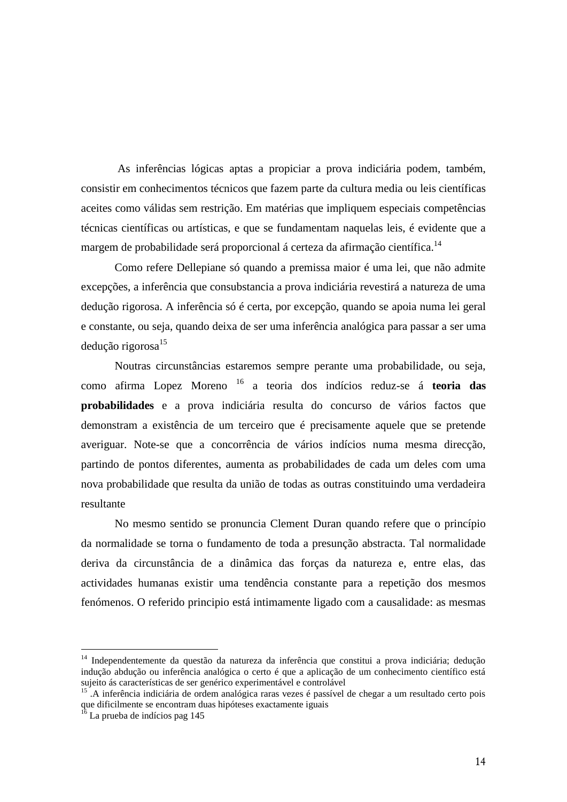As inferências lógicas aptas a propiciar a prova indiciária podem, também, consistir em conhecimentos técnicos que fazem parte da cultura media ou leis científicas aceites como válidas sem restrição. Em matérias que impliquem especiais competências técnicas científicas ou artísticas, e que se fundamentam naquelas leis, é evidente que a margem de probabilidade será proporcional á certeza da afirmação científica.<sup>14</sup>

Como refere Dellepiane só quando a premissa maior é uma lei, que não admite excepções, a inferência que consubstancia a prova indiciária revestirá a natureza de uma dedução rigorosa. A inferência só é certa, por excepção, quando se apoia numa lei geral e constante, ou seja, quando deixa de ser uma inferência analógica para passar a ser uma dedução rigorosa<sup>15</sup>

Noutras circunstâncias estaremos sempre perante uma probabilidade, ou seja, como afirma Lopez Moreno <sup>16</sup> a teoria dos indícios reduz-se á **teoria das probabilidades** e a prova indiciária resulta do concurso de vários factos que demonstram a existência de um terceiro que é precisamente aquele que se pretende averiguar. Note-se que a concorrência de vários indícios numa mesma direcção, partindo de pontos diferentes, aumenta as probabilidades de cada um deles com uma nova probabilidade que resulta da união de todas as outras constituindo uma verdadeira resultante

No mesmo sentido se pronuncia Clement Duran quando refere que o princípio da normalidade se torna o fundamento de toda a presunção abstracta. Tal normalidade deriva da circunstância de a dinâmica das forças da natureza e, entre elas, das actividades humanas existir uma tendência constante para a repetição dos mesmos fenómenos. O referido principio está intimamente ligado com a causalidade: as mesmas

<sup>&</sup>lt;sup>14</sup> Independentemente da questão da natureza da inferência que constitui a prova indiciária; dedução indução abdução ou inferência analógica o certo é que a aplicação de um conhecimento científico está sujeito ás características de ser genérico experimentável e controlável

<sup>&</sup>lt;sup>15</sup>. A inferência indiciária de ordem analógica raras vezes é passível de chegar a um resultado certo pois que dificilmente se encontram duas hipóteses exactamente iguais

 $16$  La prueba de indícios pag 145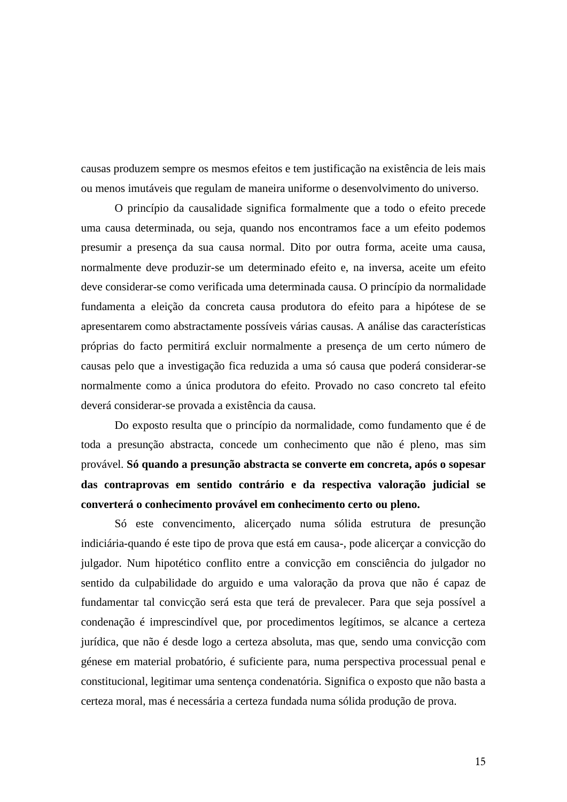causas produzem sempre os mesmos efeitos e tem justificação na existência de leis mais ou menos imutáveis que regulam de maneira uniforme o desenvolvimento do universo.

O princípio da causalidade significa formalmente que a todo o efeito precede uma causa determinada, ou seja, quando nos encontramos face a um efeito podemos presumir a presença da sua causa normal. Dito por outra forma, aceite uma causa, normalmente deve produzir-se um determinado efeito e, na inversa, aceite um efeito deve considerar-se como verificada uma determinada causa. O princípio da normalidade fundamenta a eleição da concreta causa produtora do efeito para a hipótese de se apresentarem como abstractamente possíveis várias causas. A análise das características próprias do facto permitirá excluir normalmente a presença de um certo número de causas pelo que a investigação fica reduzida a uma só causa que poderá considerar-se normalmente como a única produtora do efeito. Provado no caso concreto tal efeito deverá considerar-se provada a existência da causa.

Do exposto resulta que o princípio da normalidade, como fundamento que é de toda a presunção abstracta, concede um conhecimento que não é pleno, mas sim provável. **Só quando a presunção abstracta se converte em concreta, após o sopesar das contraprovas em sentido contrário e da respectiva valoração judicial se converterá o conhecimento provável em conhecimento certo ou pleno.**

Só este convencimento, alicerçado numa sólida estrutura de presunção indiciária-quando é este tipo de prova que está em causa-, pode alicerçar a convicção do julgador. Num hipotético conflito entre a convicção em consciência do julgador no sentido da culpabilidade do arguido e uma valoração da prova que não é capaz de fundamentar tal convicção será esta que terá de prevalecer. Para que seja possível a condenação é imprescindível que, por procedimentos legítimos, se alcance a certeza jurídica, que não é desde logo a certeza absoluta, mas que, sendo uma convicção com génese em material probatório, é suficiente para, numa perspectiva processual penal e constitucional, legitimar uma sentença condenatória. Significa o exposto que não basta a certeza moral, mas é necessária a certeza fundada numa sólida produção de prova.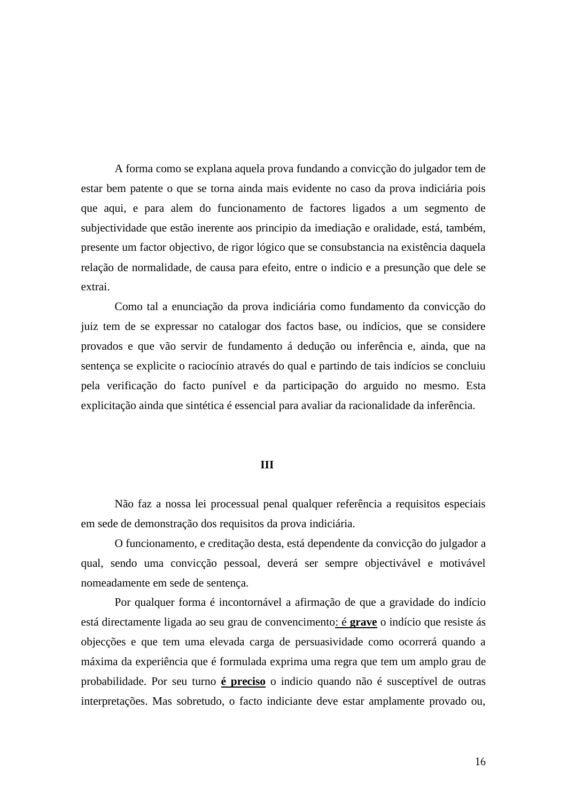A forma como se explana aquela prova fundando a convicção do julgador tem de estar bem patente o que se torna ainda mais evidente no caso da prova indiciária pois que aqui, e para alem do funcionamento de factores ligados a um segmento de subjectividade que estão inerente aos principio da imediação e oralidade, está, também, presente um factor objectivo, de rigor lógico que se consubstancia na existência daquela relação de normalidade, de causa para efeito, entre o indicio e a presunção que dele se extrai.

Como tal a enunciação da prova indiciária como fundamento da convicção do juiz tem de se expressar no catalogar dos factos base, ou indícios, que se considere provados e que vão servir de fundamento á dedução ou inferência e, ainda, que na sentença se explicite o raciocínio através do qual e partindo de tais indícios se concluiu pela verificação do facto punível e da participação do arguido no mesmo. Esta explicitação ainda que sintética é essencial para avaliar da racionalidade da inferência.

### **III**

Não faz a nossa lei processual penal qualquer referência a requisitos especiais em sede de demonstração dos requisitos da prova indiciária.

O funcionamento, e creditação desta, está dependente da convicção do julgador a qual, sendo uma convicção pessoal, deverá ser sempre objectivável e motivável nomeadamente em sede de sentença.

Por qualquer forma é incontornável a afirmação de que a gravidade do indício está directamente ligada ao seu grau de convencimento: é **grave** o indício que resiste ás objecções e que tem uma elevada carga de persuasividade como ocorrerá quando a máxima da experiência que é formulada exprima uma regra que tem um amplo grau de probabilidade. Por seu turno **é preciso** o indicio quando não é susceptível de outras interpretações. Mas sobretudo, o facto indiciante deve estar amplamente provado ou,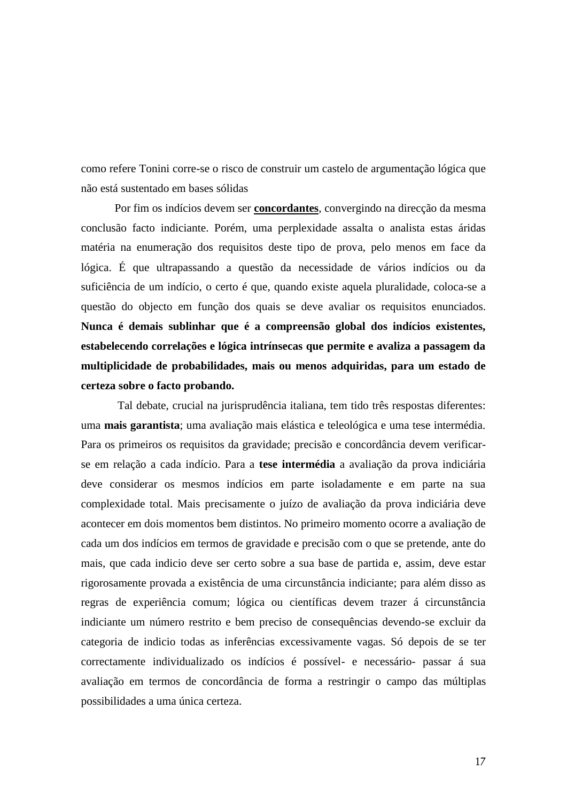como refere Tonini corre-se o risco de construir um castelo de argumentação lógica que não está sustentado em bases sólidas

Por fim os indícios devem ser **concordantes**, convergindo na direcção da mesma conclusão facto indiciante. Porém, uma perplexidade assalta o analista estas áridas matéria na enumeração dos requisitos deste tipo de prova, pelo menos em face da lógica. É que ultrapassando a questão da necessidade de vários indícios ou da suficiência de um indício, o certo é que, quando existe aquela pluralidade, coloca-se a questão do objecto em função dos quais se deve avaliar os requisitos enunciados. **Nunca é demais sublinhar que é a compreensão global dos indícios existentes, estabelecendo correlações e lógica intrínsecas que permite e avaliza a passagem da multiplicidade de probabilidades, mais ou menos adquiridas, para um estado de certeza sobre o facto probando.**

Tal debate, crucial na jurisprudência italiana, tem tido três respostas diferentes: uma **mais garantista**; uma avaliação mais elástica e teleológica e uma tese intermédia. Para os primeiros os requisitos da gravidade; precisão e concordância devem verificarse em relação a cada indício. Para a **tese intermédia** a avaliação da prova indiciária deve considerar os mesmos indícios em parte isoladamente e em parte na sua complexidade total. Mais precisamente o juízo de avaliação da prova indiciária deve acontecer em dois momentos bem distintos. No primeiro momento ocorre a avaliação de cada um dos indícios em termos de gravidade e precisão com o que se pretende, ante do mais, que cada indicio deve ser certo sobre a sua base de partida e, assim, deve estar rigorosamente provada a existência de uma circunstância indiciante; para além disso as regras de experiência comum; lógica ou científicas devem trazer á circunstância indiciante um número restrito e bem preciso de consequências devendo-se excluir da categoria de indicio todas as inferências excessivamente vagas. Só depois de se ter correctamente individualizado os indícios é possível- e necessário- passar á sua avaliação em termos de concordância de forma a restringir o campo das múltiplas possibilidades a uma única certeza.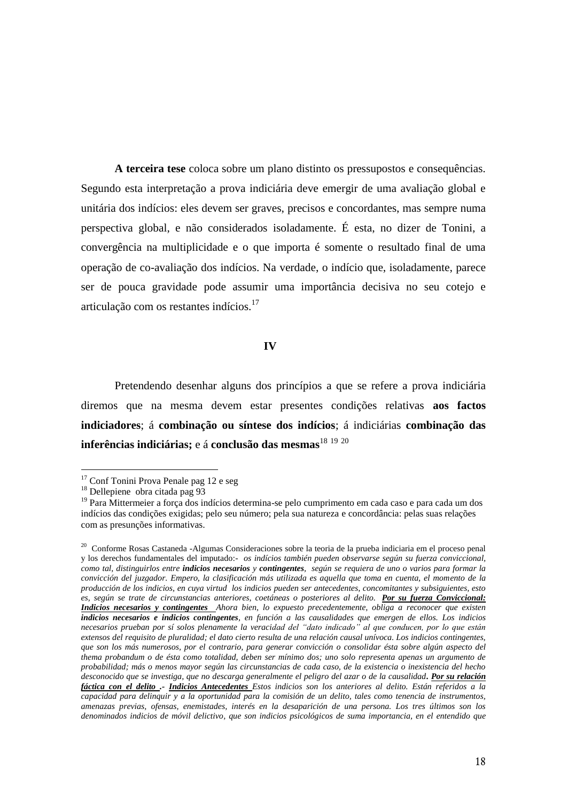**A terceira tese** coloca sobre um plano distinto os pressupostos e consequências. Segundo esta interpretação a prova indiciária deve emergir de uma avaliação global e unitária dos indícios: eles devem ser graves, precisos e concordantes, mas sempre numa perspectiva global, e não considerados isoladamente. É esta, no dizer de Tonini, a convergência na multiplicidade e o que importa é somente o resultado final de uma operação de co-avaliação dos indícios. Na verdade, o indício que, isoladamente, parece ser de pouca gravidade pode assumir uma importância decisiva no seu cotejo e articulação com os restantes indícios.<sup>17</sup>

### **IV**

Pretendendo desenhar alguns dos princípios a que se refere a prova indiciária diremos que na mesma devem estar presentes condições relativas **aos factos indiciadores**; á **combinação ou síntese dos indícios**; á indiciárias **combinação das inferências indiciárias;** e á **conclusão das mesmas**<sup>18</sup> <sup>19</sup> <sup>20</sup>

 $17$  Conf Tonini Prova Penale pag 12 e seg

<sup>18</sup> Dellepiene obra citada pag 93

<sup>&</sup>lt;sup>19</sup> Para Mittermeier a força dos indícios determina-se pelo cumprimento em cada caso e para cada um dos indícios das condições exigidas; pelo seu número; pela sua natureza e concordância: pelas suas relações com as presunções informativas.

<sup>&</sup>lt;sup>20</sup> Conforme Rosas Castaneda -Algumas Consideraciones sobre la teoria de la prueba indiciaria em el proceso penal y los derechos fundamentales del imputado:- *os indícios también pueden observarse según su fuerza conviccional, como tal, distinguirlos entre indicios necesarios y contingentes, según se requiera de uno o varios para formar la convicción del juzgador. Empero, la clasificación más utilizada es aquella que toma en cuenta, el momento de la producción de los indicios, en cuya virtud los indicios pueden ser antecedentes, concomitantes y subsiguientes, esto es, según se trate de circunstancias anteriores, coetáneas o posteriores al delito. Por su fuerza Conviccional: Indicios necesarios y contingentes Ahora bien, lo expuesto precedentemente, obliga a reconocer que existen indicios necesarios e indicios contingentes, en función a las causalidades que emergen de ellos. Los indicios necesarios prueban por sí solos plenamente la veracidad del "dato indicado" al que conducen, por lo que están extensos del requisito de pluralidad; el dato cierto resulta de una relación causal unívoca. Los indicios contingentes, que son los más numerosos, por el contrario, para generar convicción o consolidar ésta sobre algún aspecto del thema probandum o de ésta como totalidad, deben ser mínimo dos; uno solo representa apenas un argumento de probabilidad; más o menos mayor según las circunstancias de cada caso, de la existencia o inexistencia del hecho desconocido que se investiga, que no descarga generalmente el peligro del azar o de la causalidad. Por su relación fáctica con el delito .- Indicios Antecedentes Estos indicios son los anteriores al delito. Están referidos a la capacidad para delinquir y a la oportunidad para la comisión de un delito, tales como tenencia de instrumentos, amenazas previas, ofensas, enemistades, interés en la desaparición de una persona. Los tres últimos son los denominados indicios de móvil delictivo, que son indicios psicológicos de suma importancia, en el entendido que*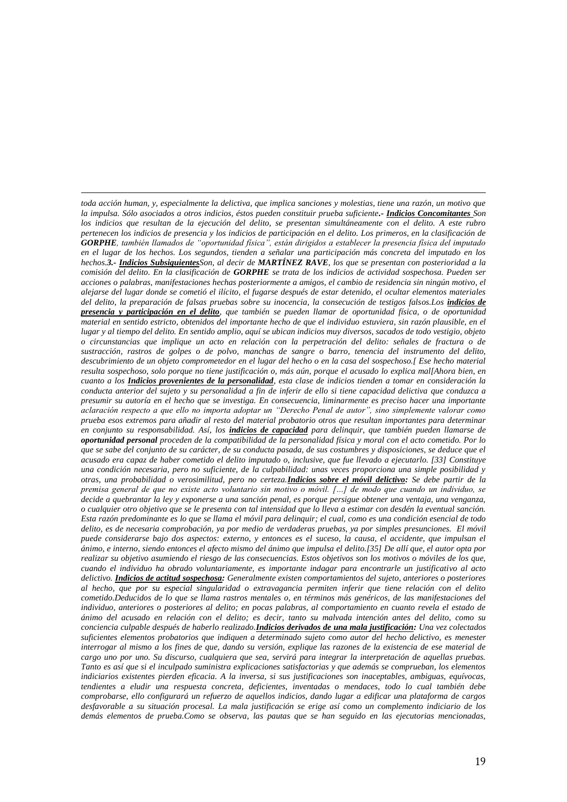*toda acción human, y, especialmente la delictiva, que implica sanciones y molestias, tiene una razón, un motivo que la impulsa. Sólo asociados a otros indicios, éstos pueden constituir prueba suficiente.- Indicios Concomitantes Son los indicios que resultan de la ejecución del delito, se presentan simultáneamente con el delito. A este rubro pertenecen los indicios de presencia y los indicios de participación en el delito. Los primeros, en la clasificación de GORPHE, también llamados de "oportunidad física", están dirigidos a establecer la presencia física del imputado en el lugar de los hechos. Los segundos, tienden a señalar una participación más concreta del imputado en los hechos.3.- Indicios SubsiguientesSon, al decir de MARTÍNEZ RAVE, los que se presentan con posterioridad a la comisión del delito. En la clasificación de GORPHE se trata de los indicios de actividad sospechosa. Pueden ser acciones o palabras, manifestaciones hechas posteriormente a amigos, el cambio de residencia sin ningún motivo, el alejarse del lugar donde se cometió el ilícito, el fugarse después de estar detenido, el ocultar elementos materiales del delito, la preparación de falsas pruebas sobre su inocencia, la consecución de testigos falsos.Los indicios de presencia y participación en el delito, que también se pueden llamar de oportunidad física, o de oportunidad material en sentido estricto, obtenidos del importante hecho de que el individuo estuviera, sin razón plausible, en el lugar y al tiempo del delito. En sentido amplio, aquí se ubican indicios muy diversos, sacados de todo vestigio, objeto o circunstancias que implique un acto en relación con la perpetración del delito: señales de fractura o de sustracción, rastros de golpes o de polvo, manchas de sangre o barro, tenencia del instrumento del delito, descubrimiento de un objeto comprometedor en el lugar del hecho o en la casa del sospechoso.[ Ese hecho material resulta sospechoso, solo porque no tiene justificación o, más aún, porque el acusado lo explica mal[Ahora bien, en cuanto a los Indicios provenientes de la personalidad, esta clase de indicios tienden a tomar en consideración la conducta anterior del sujeto y su personalidad a fin de inferir de ello si tiene capacidad delictiva que conduzca a presumir su autoría en el hecho que se investiga. En consecuencia, liminarmente es preciso hacer una importante aclaración respecto a que ello no importa adoptar un "Derecho Penal de autor", sino simplemente valorar como prueba esos extremos para añadir al resto del material probatorio otros que resultan importantes para determinar en conjunto su responsabilidad. Así, los indicios de capacidad para delinquir, que también pueden llamarse de oportunidad personal proceden de la compatibilidad de la personalidad física y moral con el acto cometido. Por lo que se sabe del conjunto de su carácter, de su conducta pasada, de sus costumbres y disposiciones, se deduce que el acusado era capaz de haber cometido el delito imputado o, inclusive, que fue llevado a ejecutarlo. [33] Constituye una condición necesaria, pero no suficiente, de la culpabilidad: unas veces proporciona una simple posibilidad y otras, una probabilidad o verosimilitud, pero no certeza.Indicios sobre el móvil delictivo: Se debe partir de la premisa general de que no existe acto voluntario sin motivo o móvil. […] de modo que cuando un individuo, se decide a quebrantar la ley y exponerse a una sanción penal, es porque persigue obtener una ventaja, una venganza, o cualquier otro objetivo que se le presenta con tal intensidad que lo lleva a estimar con desdén la eventual sanción. Esta razón predominante es lo que se llama el móvil para delinquir; el cual, como es una condición esencial de todo delito, es de necesaria comprobación, ya por medio de verdaderas pruebas, ya por simples presunciones. El móvil puede considerarse bajo dos aspectos: externo, y entonces es el suceso, la causa, el accidente, que impulsan el ánimo, e interno, siendo entonces el afecto mismo del ánimo que impulsa el delito.[35] De allí que, el autor opta por realizar su objetivo asumiendo el riesgo de las consecuencias. Estos objetivos son los motivos o móviles de los que, cuando el individuo ha obrado voluntariamente, es importante indagar para encontrarle un justificativo al acto delictivo. Indicios de actitud sospechosa: Generalmente existen comportamientos del sujeto, anteriores o posteriores al hecho, que por su especial singularidad o extravagancia permiten inferir que tiene relación con el delito cometido.Deducidos de lo que se llama rastros mentales o, en términos más genéricos, de las manifestaciones del individuo, anteriores o posteriores al delito; en pocas palabras, al comportamiento en cuanto revela el estado de ánimo del acusado en relación con el delito; es decir, tanto su malvada intención antes del delito, como su conciencia culpable después de haberlo realizado.Indicios derivados de una mala justificación: Una vez colectados suficientes elementos probatorios que indiquen a determinado sujeto como autor del hecho delictivo, es menester interrogar al mismo a los fines de que, dando su versión, explique las razones de la existencia de ese material de cargo uno por uno. Su discurso, cualquiera que sea, servirá para integrar la interpretación de aquellas pruebas. Tanto es así que si el inculpado suministra explicaciones satisfactorias y que además se comprueban, los elementos indiciarios existentes pierden eficacia. A la inversa, si sus justificaciones son inaceptables, ambiguas, equívocas, tendientes a eludir una respuesta concreta, deficientes, inventadas o mendaces, todo lo cual también debe comprobarse, ello configurará un refuerzo de aquellos indicios, dando lugar a edificar una plataforma de cargos desfavorable a su situación procesal. La mala justificación se erige así como un complemento indiciario de los demás elementos de prueba.Como se observa, las pautas que se han seguido en las ejecutorias mencionadas,*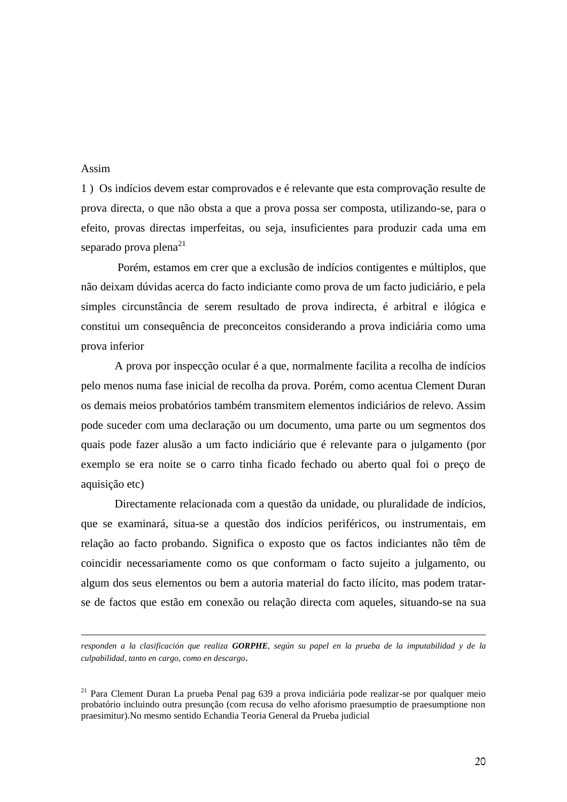# Assim

<u>.</u>

1 ) Os indícios devem estar comprovados e é relevante que esta comprovação resulte de prova directa, o que não obsta a que a prova possa ser composta, utilizando-se, para o efeito, provas directas imperfeitas, ou seja, insuficientes para produzir cada uma em separado prova plena $^{21}$ 

Porém, estamos em crer que a exclusão de indícios contigentes e múltiplos, que não deixam dúvidas acerca do facto indiciante como prova de um facto judiciário, e pela simples circunstância de serem resultado de prova indirecta, é arbitral e ilógica e constitui um consequência de preconceitos considerando a prova indiciária como uma prova inferior

A prova por inspecção ocular é a que, normalmente facilita a recolha de indícios pelo menos numa fase inicial de recolha da prova. Porém, como acentua Clement Duran os demais meios probatórios também transmitem elementos indiciários de relevo. Assim pode suceder com uma declaração ou um documento, uma parte ou um segmentos dos quais pode fazer alusão a um facto indiciário que é relevante para o julgamento (por exemplo se era noite se o carro tinha ficado fechado ou aberto qual foi o preço de aquisição etc)

Directamente relacionada com a questão da unidade, ou pluralidade de indícios, que se examinará, situa-se a questão dos indícios periféricos, ou instrumentais, em relação ao facto probando. Significa o exposto que os factos indiciantes não têm de coincidir necessariamente como os que conformam o facto sujeito a julgamento, ou algum dos seus elementos ou bem a autoria material do facto ilícito, mas podem tratarse de factos que estão em conexão ou relação directa com aqueles, situando-se na sua

*responden a la clasificación que realiza GORPHE, según su papel en la prueba de la imputabilidad y de la culpabilidad, tanto en cargo, como en descargo.*

<sup>&</sup>lt;sup>21</sup> Para Clement Duran La prueba Penal pag 639 a prova indiciária pode realizar-se por qualquer meio probatório incluindo outra presunção (com recusa do velho aforismo praesumptio de praesumptione non praesimitur).No mesmo sentido Echandia Teoria General da Prueba judicial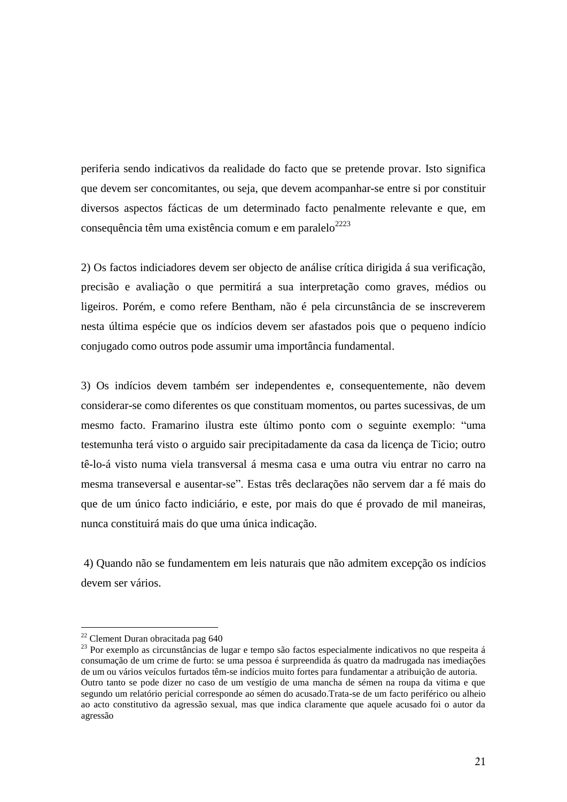periferia sendo indicativos da realidade do facto que se pretende provar. Isto significa que devem ser concomitantes, ou seja, que devem acompanhar-se entre si por constituir diversos aspectos fácticas de um determinado facto penalmente relevante e que, em consequência têm uma existência comum e em paralelo $^{2223}$ 

2) Os factos indiciadores devem ser objecto de análise crítica dirigida á sua verificação, precisão e avaliação o que permitirá a sua interpretação como graves, médios ou ligeiros. Porém, e como refere Bentham, não é pela circunstância de se inscreverem nesta última espécie que os indícios devem ser afastados pois que o pequeno indício conjugado como outros pode assumir uma importância fundamental.

3) Os indícios devem também ser independentes e, consequentemente, não devem considerar-se como diferentes os que constituam momentos, ou partes sucessivas, de um mesmo facto. Framarino ilustra este último ponto com o seguinte exemplo: "uma testemunha terá visto o arguido sair precipitadamente da casa da licença de Ticio; outro tê-lo-á visto numa viela transversal á mesma casa e uma outra viu entrar no carro na mesma transeversal e ausentar-se". Estas três declarações não servem dar a fé mais do que de um único facto indiciário, e este, por mais do que é provado de mil maneiras, nunca constituirá mais do que uma única indicação.

4) Quando não se fundamentem em leis naturais que não admitem excepção os indícios devem ser vários.

<sup>22</sup> Clement Duran obracitada pag 640

<sup>&</sup>lt;sup>23</sup> Por exemplo as circunstâncias de lugar e tempo são factos especialmente indicativos no que respeita á consumação de um crime de furto: se uma pessoa é surpreendida ás quatro da madrugada nas imediações de um ou vários veículos furtados têm-se indícios muito fortes para fundamentar a atribuição de autoria. Outro tanto se pode dizer no caso de um vestígio de uma mancha de sémen na roupa da vitima e que segundo um relatório pericial corresponde ao sémen do acusado.Trata-se de um facto periférico ou alheio ao acto constitutivo da agressão sexual, mas que indica claramente que aquele acusado foi o autor da agressão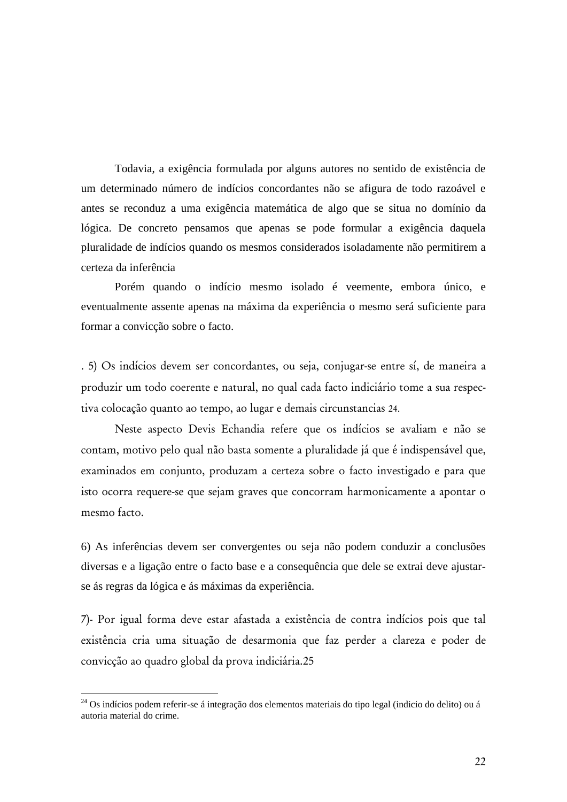Todavia, a exigência formulada por alguns autores no sentido de existência de um determinado número de indícios concordantes não se afigura de todo razoável e antes se reconduz a uma exigência matemática de algo que se situa no domínio da lógica. De concreto pensamos que apenas se pode formular a exigência daquela pluralidade de indícios quando os mesmos considerados isoladamente não permitirem a certeza da inferência

Porém quando o indício mesmo isolado é veemente, embora único, e eventualmente assente apenas na máxima da experiência o mesmo será suficiente para formar a convicção sobre o facto.

. 5) Os indícios devem ser concordantes, ou seja, conjugar-se entre sí, de maneira a produzir um todo coerente e natural, no qual cada facto indiciário tome a sua respectiva colocação quanto ao tempo, ao lugar e demais circunstancias 24.

Neste aspecto Devis Echandia refere que os indícios se avaliam e não se contam, motivo pelo qual não basta somente a pluralidade já que é indispensável que, examinados em conjunto, produzam a certeza sobre o facto investigado e para que isto ocorra requere-se que sejam graves que concorram harmonicamente a apontar o mesmo facto.

6) As inferências devem ser convergentes ou seja não podem conduzir a conclusões diversas e a ligação entre o facto base e a consequência que dele se extrai deve ajustarse ás regras da lógica e ás máximas da experiência.

7)- Por igual forma deve estar afastada a existência de contra indícios pois que tal existência cria uma situação de desarmonia que faz perder a clareza e poder de convicção ao quadro global da prova indiciária.25

<sup>&</sup>lt;sup>24</sup> Os indícios podem referir-se á integração dos elementos materiais do tipo legal (indicio do delito) ou á autoria material do crime.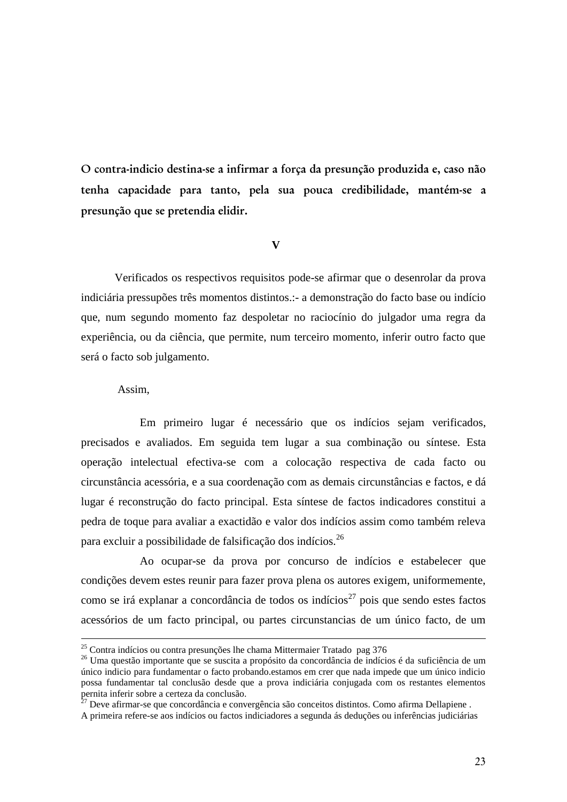**O contra-indicio destina-se a infirmar a força da presunção produzida e, caso não tenha capacidade para tanto, pela sua pouca credibilidade, mantém-se a presunção que se pretendia elidir.**

# **V**

Verificados os respectivos requisitos pode-se afirmar que o desenrolar da prova indiciária pressupões três momentos distintos.:- a demonstração do facto base ou indício que, num segundo momento faz despoletar no raciocínio do julgador uma regra da experiência, ou da ciência, que permite, num terceiro momento, inferir outro facto que será o facto sob julgamento.

# Assim,

<u>.</u>

Em primeiro lugar é necessário que os indícios sejam verificados, precisados e avaliados. Em seguida tem lugar a sua combinação ou síntese. Esta operação intelectual efectiva-se com a colocação respectiva de cada facto ou circunstância acessória, e a sua coordenação com as demais circunstâncias e factos, e dá lugar é reconstrução do facto principal. Esta síntese de factos indicadores constitui a pedra de toque para avaliar a exactidão e valor dos indícios assim como também releva para excluir a possibilidade de falsificação dos indícios.<sup>26</sup>

Ao ocupar-se da prova por concurso de indícios e estabelecer que condições devem estes reunir para fazer prova plena os autores exigem, uniformemente, como se irá explanar a concordância de todos os indícios<sup>27</sup> pois que sendo estes factos acessórios de um facto principal, ou partes circunstancias de um único facto, de um

<sup>&</sup>lt;sup>25</sup> Contra indícios ou contra presunções lhe chama Mittermaier Tratado pag 376

<sup>26</sup> Uma questão importante que se suscita a propósito da concordância de indícios é da suficiência de um único indicio para fundamentar o facto probando.estamos em crer que nada impede que um único indicio possa fundamentar tal conclusão desde que a prova indiciária conjugada com os restantes elementos pernita inferir sobre a certeza da conclusão.

 $^{27}$  Deve afirmar-se que concordância e convergência são conceitos distintos. Como afirma Dellapiene.

A primeira refere-se aos indícios ou factos indiciadores a segunda ás deduções ou inferências judiciárias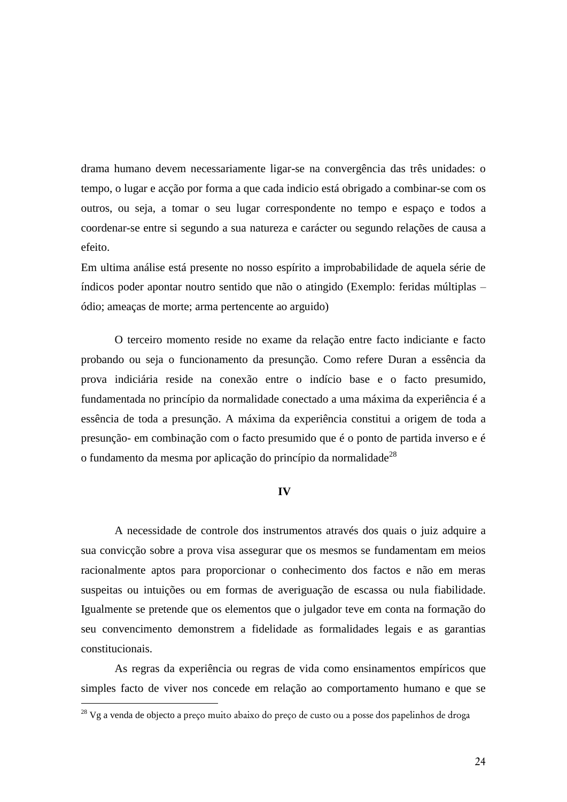drama humano devem necessariamente ligar-se na convergência das três unidades: o tempo, o lugar e acção por forma a que cada indicio está obrigado a combinar-se com os outros, ou seja, a tomar o seu lugar correspondente no tempo e espaço e todos a coordenar-se entre si segundo a sua natureza e carácter ou segundo relações de causa a efeito.

Em ultima análise está presente no nosso espírito a improbabilidade de aquela série de índicos poder apontar noutro sentido que não o atingido (Exemplo: feridas múltiplas – ódio; ameaças de morte; arma pertencente ao arguido)

O terceiro momento reside no exame da relação entre facto indiciante e facto probando ou seja o funcionamento da presunção. Como refere Duran a essência da prova indiciária reside na conexão entre o indício base e o facto presumido, fundamentada no princípio da normalidade conectado a uma máxima da experiência é a essência de toda a presunção. A máxima da experiência constitui a origem de toda a presunção- em combinação com o facto presumido que é o ponto de partida inverso e é o fundamento da mesma por aplicação do princípio da normalidade $^{28}$ 

### **IV**

A necessidade de controle dos instrumentos através dos quais o juiz adquire a sua convicção sobre a prova visa assegurar que os mesmos se fundamentam em meios racionalmente aptos para proporcionar o conhecimento dos factos e não em meras suspeitas ou intuições ou em formas de averiguação de escassa ou nula fiabilidade. Igualmente se pretende que os elementos que o julgador teve em conta na formação do seu convencimento demonstrem a fidelidade as formalidades legais e as garantias constitucionais.

As regras da experiência ou regras de vida como ensinamentos empíricos que simples facto de viver nos concede em relação ao comportamento humano e que se

<sup>&</sup>lt;sup>28</sup> Vg a venda de objecto a preço muito abaixo do preço de custo ou a posse dos papelinhos de droga